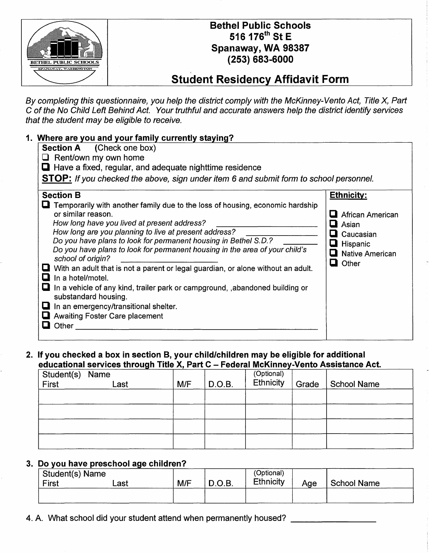

## Bethel Public Schools 516 176<sup>th</sup> St E Spanaway, WA 98387 (253) 683-6000

## **Student Residency Affidavit Form**

By completing this questionnaire, you help the district comply with the McKinney-Vento Act, Title *X,* Part C of the No Child Left Behind Act. Your truthful and accurate answers help the district identify services that the student may be eligible to receive.

| 1. Where are you and your family currently staying?                                                                                                                                                                                                                                                                                                    |                                                                                                                                                                                                                                                                                                                                                                                                                                                                         |
|--------------------------------------------------------------------------------------------------------------------------------------------------------------------------------------------------------------------------------------------------------------------------------------------------------------------------------------------------------|-------------------------------------------------------------------------------------------------------------------------------------------------------------------------------------------------------------------------------------------------------------------------------------------------------------------------------------------------------------------------------------------------------------------------------------------------------------------------|
| <b>Section A</b> (Check one box)                                                                                                                                                                                                                                                                                                                       |                                                                                                                                                                                                                                                                                                                                                                                                                                                                         |
| $\Box$ Rent/own my own home                                                                                                                                                                                                                                                                                                                            |                                                                                                                                                                                                                                                                                                                                                                                                                                                                         |
| Have a fixed, regular, and adequate nighttime residence                                                                                                                                                                                                                                                                                                |                                                                                                                                                                                                                                                                                                                                                                                                                                                                         |
|                                                                                                                                                                                                                                                                                                                                                        | STOP: If you checked the above, sign under item 6 and submit form to school personnel.                                                                                                                                                                                                                                                                                                                                                                                  |
| <b>Section B</b>                                                                                                                                                                                                                                                                                                                                       | <b>Ethnicity:</b>                                                                                                                                                                                                                                                                                                                                                                                                                                                       |
| or similar reason.<br>How long have you lived at present address?<br>How long are you planning to live at present address?<br>Do you have plans to look for permanent housing in Bethel S.D.?<br>school of origin?<br>In a hotel/motel.<br>substandard housing.<br>In an emergency/transitional shelter.<br><b>Awaiting Foster Care placement</b><br>ш | $\blacksquare$ Temporarily with another family due to the loss of housing, economic hardship<br>African American<br>Asian<br>Caucasian<br>L<br>Hispanic<br>Do you have plans to look for permanent housing in the area of your child's<br><b>Native American</b><br>ш<br>Other<br>Q<br>With an adult that is not a parent or legal guardian, or alone without an adult.<br>$\blacksquare$ In a vehicle of any kind, trailer park or campground, , abandoned building or |
| Other<br>$\overline{\phantom{a}}$                                                                                                                                                                                                                                                                                                                      |                                                                                                                                                                                                                                                                                                                                                                                                                                                                         |

## 2. If you checked a box in section B, your child/children may be eligible for additional educational services through Title X. Part C - Federal McKinney-Vento Assistance Act.

| Student(s) Name<br>First | Last | M/F | D.O.B. | (Optional)<br>Ethnicity | Grade | <b>School Name</b> |
|--------------------------|------|-----|--------|-------------------------|-------|--------------------|
|                          |      |     |        |                         |       |                    |
|                          |      |     |        |                         |       |                    |
|                          |      |     |        |                         |       |                    |
|                          |      |     |        |                         |       |                    |

## 3. Do you have preschool age children?

| Student(s) Name<br>First | ∟ast | M/F | D.O.B. | (Optional)<br><b>Ethnicity</b> | Age | <b>School Name</b> |
|--------------------------|------|-----|--------|--------------------------------|-----|--------------------|
|                          |      |     |        |                                |     |                    |

4. A. What school did your student attend when permanently housed?